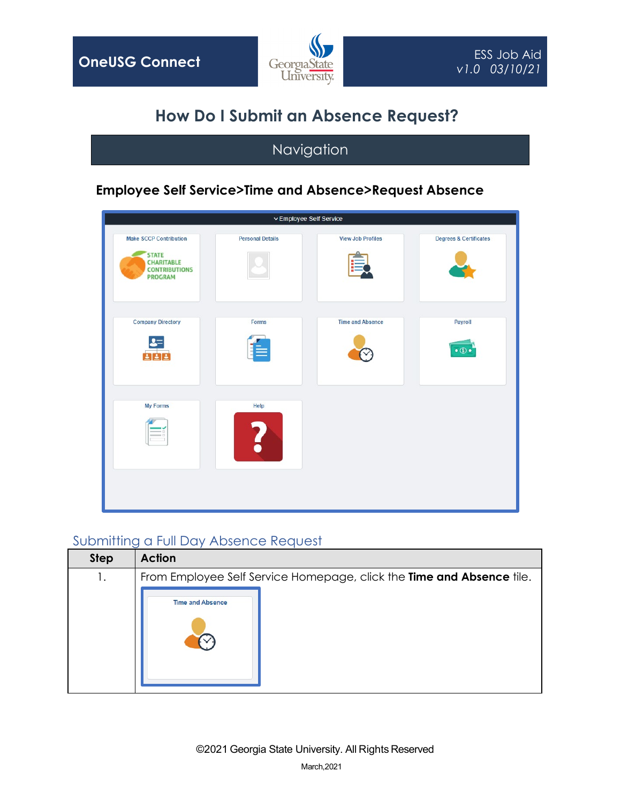

# **How Do I Submit an Absence Request?**

## Navigation

### **Employee Self Service>Time and Absence>Request Absence**

|                                    |                          | v Employee Self Service |                                                                                                              |
|------------------------------------|--------------------------|-------------------------|--------------------------------------------------------------------------------------------------------------|
| <b>Degrees &amp; Certificates</b>  | <b>View Job Profiles</b> | <b>Personal Details</b> | <b>Make SCCP Contribution</b><br><b>STATE</b><br><b>CHARITABLE</b><br><b>CONTRIBUTIONS</b><br><b>PROGRAM</b> |
| Payroll<br>$\bullet$ (S) $\bullet$ | <b>Time and Absence</b>  | Forms                   | <b>Company Directory</b><br>$\mathbf{s}$ =                                                                   |
|                                    |                          | Help                    | <b>My Forms</b><br>$\equiv$ $\Box$                                                                           |
|                                    |                          |                         |                                                                                                              |

#### Submitting a Full Day Absence Request

| <b>Step</b> | <b>Action</b>                                                         |
|-------------|-----------------------------------------------------------------------|
| 1.          | From Employee Self Service Homepage, click the Time and Absence tile. |
|             | <b>Time and Absence</b>                                               |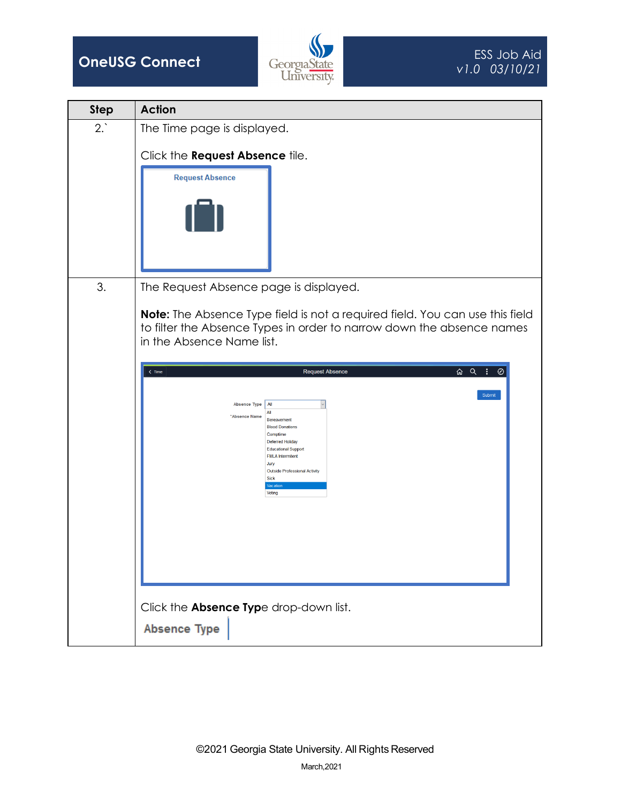



| <b>Step</b> | <b>Action</b>                                                                                                                                                                                                                                                                       |
|-------------|-------------------------------------------------------------------------------------------------------------------------------------------------------------------------------------------------------------------------------------------------------------------------------------|
| 2.          | The Time page is displayed.                                                                                                                                                                                                                                                         |
|             | Click the Request Absence tile.<br><b>Request Absence</b>                                                                                                                                                                                                                           |
|             |                                                                                                                                                                                                                                                                                     |
| 3.          | The Request Absence page is displayed.                                                                                                                                                                                                                                              |
|             | Note: The Absence Type field is not a required field. You can use this field<br>to filter the Absence Types in order to narrow down the absence names<br>in the Absence Name list.                                                                                                  |
|             | $\overline{\omega}$ $\alpha$ $\overline{\alpha}$<br><b>Request Absence</b><br>⊘<br>$\leq$ Time                                                                                                                                                                                      |
|             | Submit<br><b>Absence Type</b><br>All<br>All<br>*Absence Name<br>Bereavement<br><b>Blood Donations</b><br>Comptime<br><b>Deferred Holiday</b><br><b>Educational Support</b><br><b>FMLA</b> Intermitent<br>Jury<br>Outside Professional Activity<br><b>Sick</b><br>Vacation<br>Voting |
|             |                                                                                                                                                                                                                                                                                     |
|             | Click the Absence Type drop-down list.                                                                                                                                                                                                                                              |
|             | <b>Absence Type</b>                                                                                                                                                                                                                                                                 |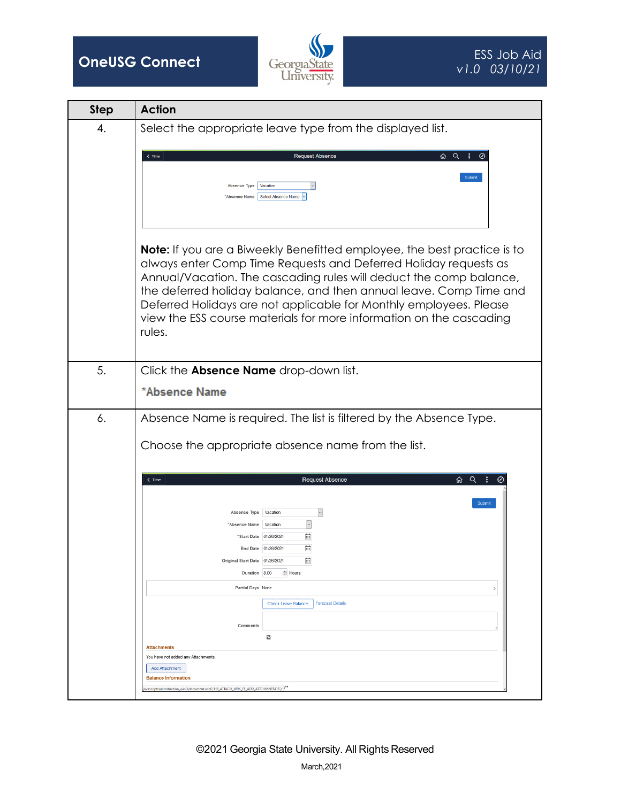



| <b>Step</b> | <b>Action</b>                                                                                                                                                                                                                                                                                                                                                                                                                                          |
|-------------|--------------------------------------------------------------------------------------------------------------------------------------------------------------------------------------------------------------------------------------------------------------------------------------------------------------------------------------------------------------------------------------------------------------------------------------------------------|
| 4.          | Select the appropriate leave type from the displayed list.                                                                                                                                                                                                                                                                                                                                                                                             |
|             | ふ Q :<br>$\leq$ Time<br><b>Request Absence</b><br>Submit<br>Vacation<br><b>Absence Type</b><br>Select Absence Name<br><b>"Absence Name</b>                                                                                                                                                                                                                                                                                                             |
|             | <b>Note:</b> If you are a Biweekly Benefitted employee, the best practice is to<br>always enter Comp Time Requests and Deferred Holiday requests as<br>Annual/Vacation. The cascading rules will deduct the comp balance,<br>the deferred holiday balance, and then annual leave. Comp Time and<br>Deferred Holidays are not applicable for Monthly employees. Please<br>view the ESS course materials for more information on the cascading<br>rules. |
| 5.          | Click the <b>Absence Name</b> drop-down list.                                                                                                                                                                                                                                                                                                                                                                                                          |
|             | *Absence Name                                                                                                                                                                                                                                                                                                                                                                                                                                          |
| 6.          | Absence Name is required. The list is filtered by the Absence Type.                                                                                                                                                                                                                                                                                                                                                                                    |
|             | Choose the appropriate absence name from the list.                                                                                                                                                                                                                                                                                                                                                                                                     |
|             | ふ Q :<br>$\zeta$ Time<br><b>Request Absence</b>                                                                                                                                                                                                                                                                                                                                                                                                        |
|             | Submit<br>$\backsim$<br>Vacation<br>Absence Type<br>Vacation<br>*Absence Name<br>曲<br>"Start Date 01/26/2021<br>曲<br>End Date 01/26/2021<br>益<br>Original Start Date 01/26/2021<br>Hours<br>Duration 8.00<br>Partial Days None<br><b>Forecast Details</b><br><b>Check Leave Balance</b><br>Comments<br>國<br><b>Attachments</b><br>You have not added any Attachments.                                                                                  |
|             | <b>Add Attachment</b><br><b>Balance Information</b>                                                                                                                                                                                                                                                                                                                                                                                                    |
|             | avascript:submitAction_win0(document.win0,'HR_ATTACH_WRK_FF_ADD_ATTCHMNT\$41\$'); <sup>&gt;**</sup>                                                                                                                                                                                                                                                                                                                                                    |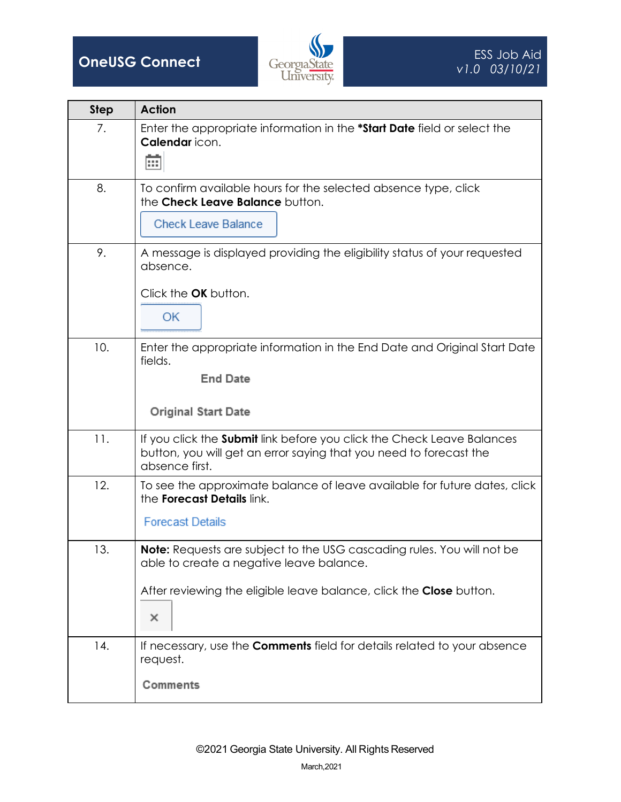

| <b>Step</b> | <b>Action</b>                                                                                                                                                                                         |
|-------------|-------------------------------------------------------------------------------------------------------------------------------------------------------------------------------------------------------|
| 7.          | Enter the appropriate information in the *Start Date field or select the<br>Calendar icon.<br>丽                                                                                                       |
| 8.          | To confirm available hours for the selected absence type, click<br>the Check Leave Balance button.<br><b>Check Leave Balance</b>                                                                      |
| 9.          | A message is displayed providing the eligibility status of your requested<br>absence.<br>Click the OK button.<br>OK                                                                                   |
| 10.         | Enter the appropriate information in the End Date and Original Start Date<br>fields.<br><b>End Date</b><br><b>Original Start Date</b>                                                                 |
| 11.         | If you click the <b>Submit</b> link before you click the Check Leave Balances<br>button, you will get an error saying that you need to forecast the<br>absence first.                                 |
| 12.         | To see the approximate balance of leave available for future dates, click<br>the <b>Forecast Details</b> link.<br><b>Forecast Details</b>                                                             |
| 13.         | <b>Note:</b> Requests are subject to the USG cascading rules. You will not be<br>able to create a negative leave balance.<br>After reviewing the eligible leave balance, click the Close button.<br>× |
| 14.         | If necessary, use the <b>Comments</b> field for details related to your absence<br>request.<br>Comments                                                                                               |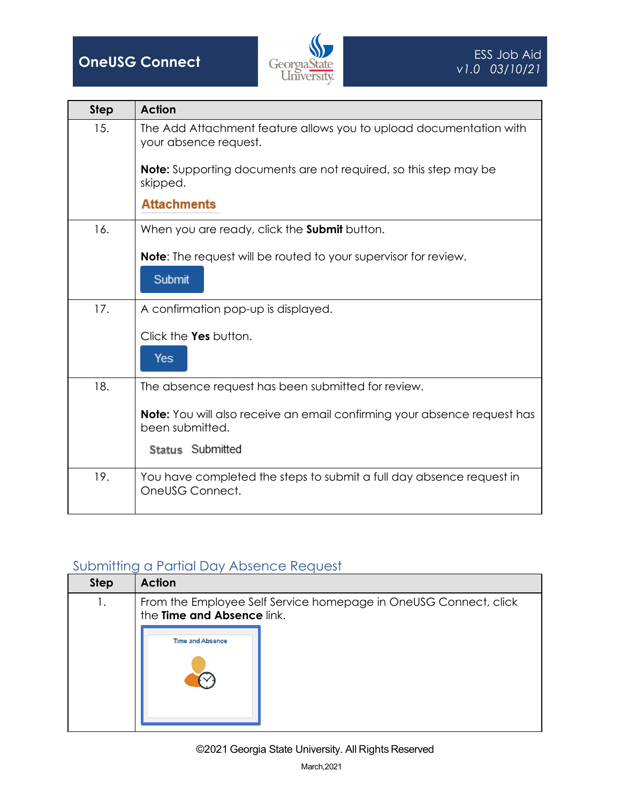

| <b>Step</b> | <b>Action</b>                                                                                      |
|-------------|----------------------------------------------------------------------------------------------------|
| 15.         | The Add Attachment feature allows you to upload documentation with<br>your absence request.        |
|             | <b>Note:</b> Supporting documents are not required, so this step may be<br>skipped.                |
|             | <b>Attachments</b>                                                                                 |
| 16.         | When you are ready, click the <b>Submit</b> button.                                                |
|             | <b>Note:</b> The request will be routed to your supervisor for review.                             |
|             | Submit                                                                                             |
| 17.         | A confirmation pop-up is displayed.                                                                |
|             | Click the Yes button.                                                                              |
|             | Yes                                                                                                |
| 18.         | The absence request has been submitted for review.                                                 |
|             | <b>Note:</b> You will also receive an email confirming your absence request has<br>been submitted. |
|             | Status Submitted                                                                                   |
| 19.         | You have completed the steps to submit a full day absence request in<br>OneUSG Connect.            |

### Submitting a Partial Day Absence Request

| <b>Step</b> | <b>Action</b>                                                                                  |
|-------------|------------------------------------------------------------------------------------------------|
| 1.          | From the Employee Self Service homepage in OneUSG Connect, click<br>the Time and Absence link. |
|             | <b>Time and Absence</b>                                                                        |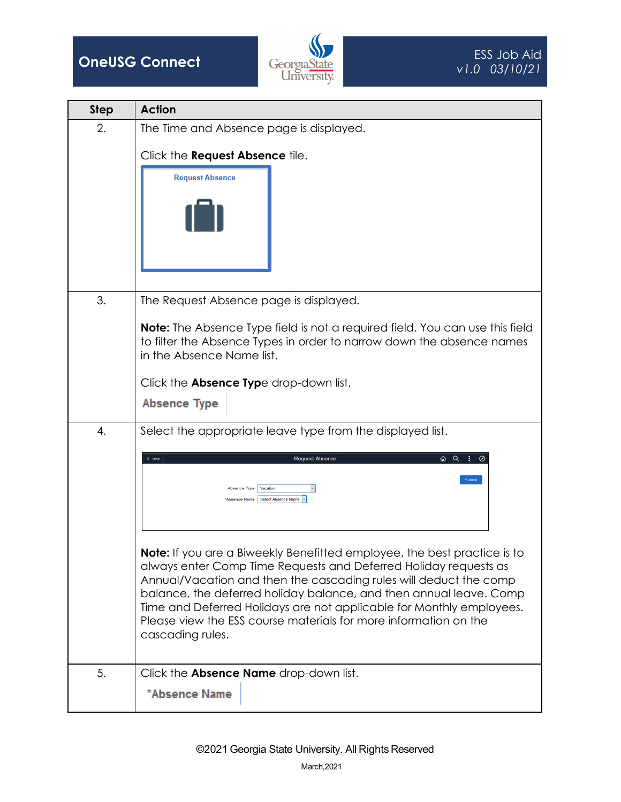



| <b>Step</b> | <b>Action</b>                                                                                                                                                                                                                                                                                                                                                                                                                                           |
|-------------|---------------------------------------------------------------------------------------------------------------------------------------------------------------------------------------------------------------------------------------------------------------------------------------------------------------------------------------------------------------------------------------------------------------------------------------------------------|
| 2.          | The Time and Absence page is displayed.                                                                                                                                                                                                                                                                                                                                                                                                                 |
|             | Click the <b>Request Absence</b> tile.<br><b>Request Absence</b>                                                                                                                                                                                                                                                                                                                                                                                        |
| 3.          | The Request Absence page is displayed.                                                                                                                                                                                                                                                                                                                                                                                                                  |
|             | <b>Note:</b> The Absence Type field is not a required field. You can use this field<br>to filter the Absence Types in order to narrow down the absence names<br>in the Absence Name list.                                                                                                                                                                                                                                                               |
|             | Click the <b>Absence Type</b> drop-down list.<br><b>Absence Type</b>                                                                                                                                                                                                                                                                                                                                                                                    |
|             |                                                                                                                                                                                                                                                                                                                                                                                                                                                         |
| 4.          | Select the appropriate leave type from the displayed list.<br>ふ Q :<br><b>Request Absence</b><br>$\zeta$ Time<br>Submit                                                                                                                                                                                                                                                                                                                                 |
|             | Vacation<br><b>Absence Type</b><br>Select Absence Name<br>"Absence Name                                                                                                                                                                                                                                                                                                                                                                                 |
|             | Note: If you are a Biweekly Benefitted employee, the best practice is to<br>always enter Comp Time Requests and Deferred Holiday requests as<br>Annual/Vacation and then the cascading rules will deduct the comp<br>balance, the deferred holiday balance, and then annual leave. Comp<br>Time and Deferred Holidays are not applicable for Monthly employees.<br>Please view the ESS course materials for more information on the<br>cascading rules. |
| 5.          | Click the Absence Name drop-down list.                                                                                                                                                                                                                                                                                                                                                                                                                  |
|             | *Absence Name                                                                                                                                                                                                                                                                                                                                                                                                                                           |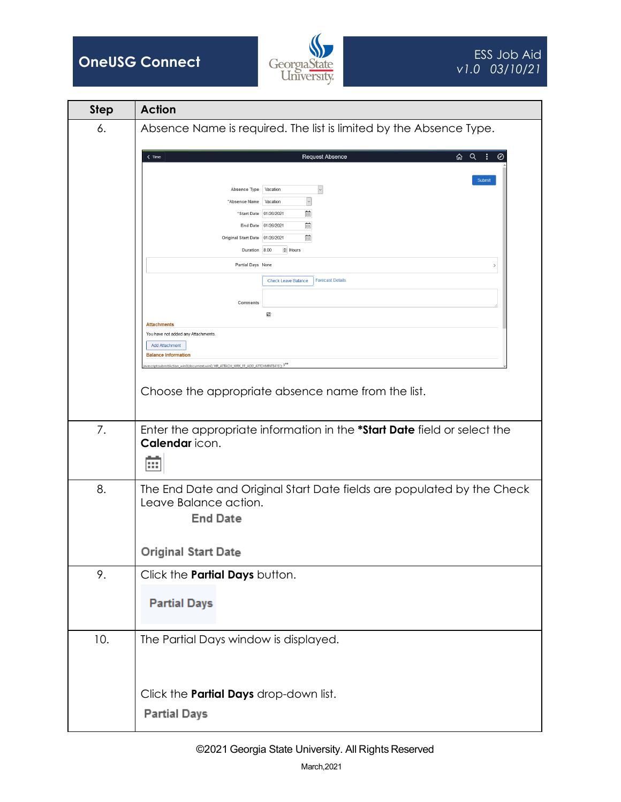



| <b>Step</b> | <b>Action</b>                                                                                                                  |
|-------------|--------------------------------------------------------------------------------------------------------------------------------|
| 6.          | Absence Name is required. The list is limited by the Absence Type.                                                             |
|             | ふ Q :<br>$\zeta$ Time<br><b>Request Absence</b><br>⊘                                                                           |
|             | Submit                                                                                                                         |
|             | $\ddot{\ }$<br>Vacation<br>Absence Type                                                                                        |
|             | $\ddot{\phantom{0}}$<br>*Absence Name<br>Vacation<br>菌<br>*Start Date 01/26/2021                                               |
|             | 曲<br>End Date 01/26/2021                                                                                                       |
|             | 曲<br>Original Start Date 01/26/2021                                                                                            |
|             | Duration 8.00<br>Hours                                                                                                         |
|             | Partial Days None                                                                                                              |
|             | <b>Forecast Details</b><br><b>Check Leave Balance</b>                                                                          |
|             | Comments                                                                                                                       |
|             | 國                                                                                                                              |
|             | <b>Attachments</b><br>You have not added any Attachments                                                                       |
|             | <b>Add Attachment</b>                                                                                                          |
|             | <b>Balance Information</b><br>ivascript:submitAction_win0(document.win0,'HR_ATTACH_WRK_FF_ADD_ATTCHMNT\$41\$'); <sup>}**</sup> |
|             |                                                                                                                                |
|             | Choose the appropriate absence name from the list.                                                                             |
|             |                                                                                                                                |
| 7.          |                                                                                                                                |
|             | Enter the appropriate information in the *Start Date field or select the<br>Calendar icon.                                     |
|             |                                                                                                                                |
|             | ш                                                                                                                              |
| 8.          | The End Date and Original Start Date fields are populated by the Check                                                         |
|             | Leave Balance action.                                                                                                          |
|             | <b>End Date</b>                                                                                                                |
|             |                                                                                                                                |
|             |                                                                                                                                |
|             | Original Start Date                                                                                                            |
| 9.          | Click the Partial Days button.                                                                                                 |
|             |                                                                                                                                |
|             | <b>Partial Days</b>                                                                                                            |
|             |                                                                                                                                |
| 10.         | The Partial Days window is displayed.                                                                                          |
|             |                                                                                                                                |
|             |                                                                                                                                |
|             |                                                                                                                                |
|             | Click the <b>Partial Days</b> drop-down list.                                                                                  |
|             | <b>Partial Days</b>                                                                                                            |
|             |                                                                                                                                |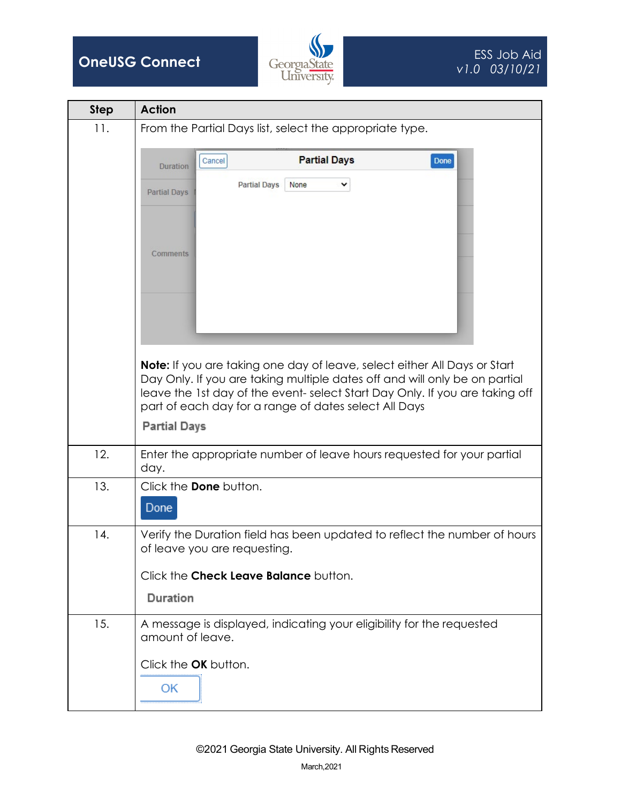



| <b>Step</b> | <b>Action</b>                                                                                                                                                                                                                                                                                          |
|-------------|--------------------------------------------------------------------------------------------------------------------------------------------------------------------------------------------------------------------------------------------------------------------------------------------------------|
| 11.         | From the Partial Days list, select the appropriate type.                                                                                                                                                                                                                                               |
|             | <b>Partial Days</b><br>Done<br>Cancel<br><b>Duration</b>                                                                                                                                                                                                                                               |
|             | <b>Partial Days</b><br>None<br><b>Partial Days</b>                                                                                                                                                                                                                                                     |
|             | <b>Comments</b>                                                                                                                                                                                                                                                                                        |
|             | <b>Note:</b> If you are taking one day of leave, select either All Days or Start<br>Day Only. If you are taking multiple dates off and will only be on partial<br>leave the 1st day of the event-select Start Day Only. If you are taking off<br>part of each day for a range of dates select All Days |
|             | <b>Partial Days</b>                                                                                                                                                                                                                                                                                    |
| 12.         | Enter the appropriate number of leave hours requested for your partial<br>day.                                                                                                                                                                                                                         |
| 13.         | Click the <b>Done</b> button.<br>Done                                                                                                                                                                                                                                                                  |
| 14.         | Verify the Duration field has been updated to reflect the number of hours<br>of leave you are requesting.                                                                                                                                                                                              |
|             | Click the Check Leave Balance button.                                                                                                                                                                                                                                                                  |
|             | Duration                                                                                                                                                                                                                                                                                               |
| 15.         | A message is displayed, indicating your eligibility for the requested<br>amount of leave.                                                                                                                                                                                                              |
|             | Click the OK button.<br>ОК                                                                                                                                                                                                                                                                             |